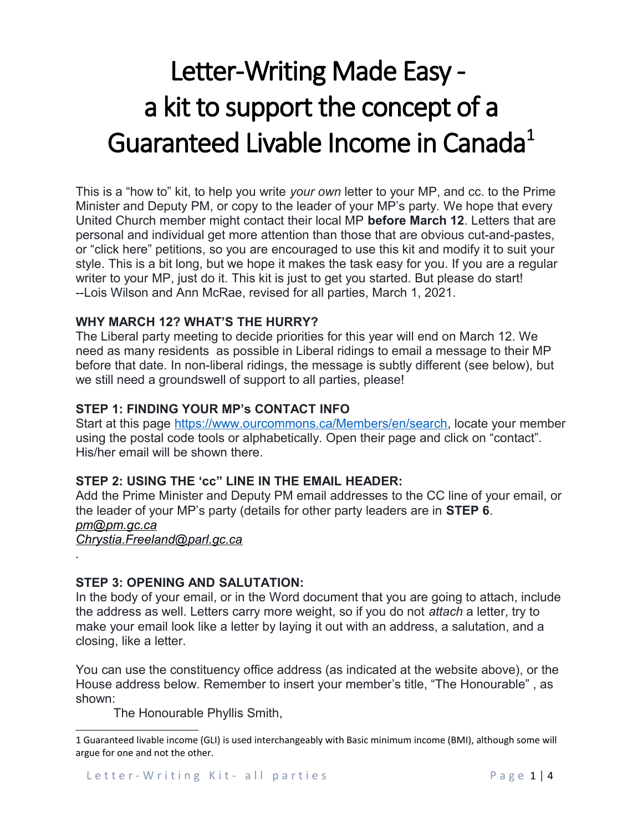# Letter-Writing Made Easy a kit to support the concept of a Guaranteed Livable Income in Canada<sup>[1](#page-0-0)</sup>

This is a "how to" kit, to help you write *your own* letter to your MP, and cc. to the Prime Minister and Deputy PM, or copy to the leader of your MP's party. We hope that every United Church member might contact their local MP **before March 12**. Letters that are personal and individual get more attention than those that are obvious cut-and-pastes, or "click here" petitions, so you are encouraged to use this kit and modify it to suit your style. This is a bit long, but we hope it makes the task easy for you. If you are a regular writer to your MP, just do it. This kit is just to get you started. But please do start! --Lois Wilson and Ann McRae, revised for all parties, March 1, 2021.

## **WHY MARCH 12? WHAT'S THE HURRY?**

The Liberal party meeting to decide priorities for this year will end on March 12. We need as many residents as possible in Liberal ridings to email a message to their MP before that date. In non-liberal ridings, the message is subtly different (see below), but we still need a groundswell of support to all parties, please!

# **STEP 1: FINDING YOUR MP's CONTACT INFO**

Start at this page [https://www.ourcommons.ca/Members/en/search,](https://www.ourcommons.ca/Members/en/search) locate your member using the postal code tools or alphabetically. Open their page and click on "contact". His/her email will be shown there.

## **STEP 2: USING THE 'cc" LINE IN THE EMAIL HEADER:**

Add the Prime Minister and Deputy PM email addresses to the CC line of your email, or the leader of your MP's party (details for other party leaders are in **STEP 6**. *[pm@pm.gc.ca](mailto:pm@pm.gc.ca) [Chrystia.Freeland@parl.gc.ca](mailto:Chrystia.Freeland@parl.gc.ca)*

## **STEP 3: OPENING AND SALUTATION:**

*.*

In the body of your email, or in the Word document that you are going to attach, include the address as well. Letters carry more weight, so if you do not *attach* a letter, try to make your email look like a letter by laying it out with an address, a salutation, and a closing, like a letter.

You can use the constituency office address (as indicated at the website above), or the House address below. Remember to insert your member's title, "The Honourable" , as shown:

The Honourable Phyllis Smith,

<span id="page-0-0"></span><sup>1</sup> Guaranteed livable income (GLI) is used interchangeably with Basic minimum income (BMI), although some will argue for one and not the other.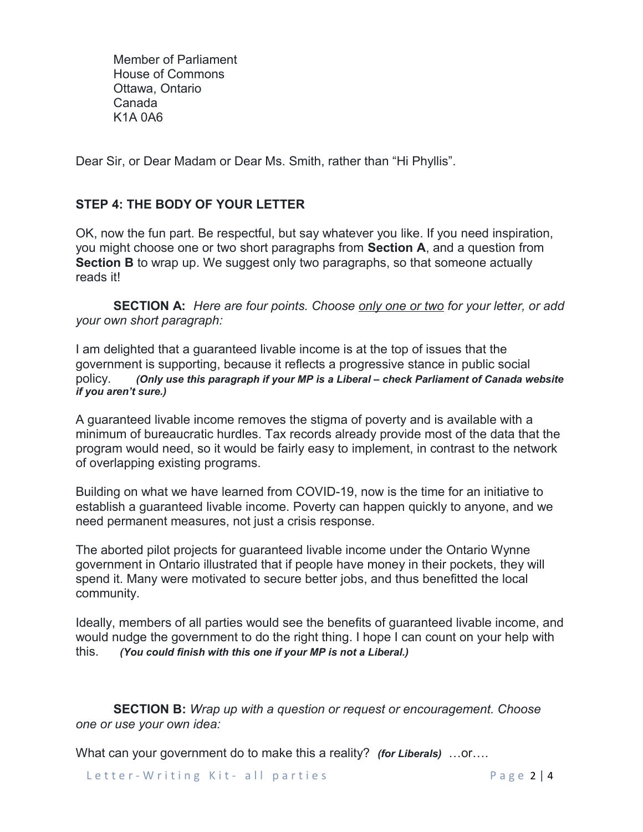Member of Parliament House of Commons Ottawa, Ontario Canada K1A 0A6

Dear Sir, or Dear Madam or Dear Ms. Smith, rather than "Hi Phyllis".

# **STEP 4: THE BODY OF YOUR LETTER**

OK, now the fun part. Be respectful, but say whatever you like. If you need inspiration, you might choose one or two short paragraphs from **Section A**, and a question from **Section B** to wrap up. We suggest only two paragraphs, so that someone actually reads it!

**SECTION A:** *Here are four points. Choose only one or two for your letter, or add your own short paragraph:*

I am delighted that a guaranteed livable income is at the top of issues that the government is supporting, because it reflects a progressive stance in public social policy. *(Only use this paragraph if your MP is a Liberal – check Parliament of Canada website if you aren't sure.)*

A guaranteed livable income removes the stigma of poverty and is available with a minimum of bureaucratic hurdles. Tax records already provide most of the data that the program would need, so it would be fairly easy to implement, in contrast to the network of overlapping existing programs.

Building on what we have learned from COVID-19, now is the time for an initiative to establish a guaranteed livable income. Poverty can happen quickly to anyone, and we need permanent measures, not just a crisis response.

The aborted pilot projects for guaranteed livable income under the Ontario Wynne government in Ontario illustrated that if people have money in their pockets, they will spend it. Many were motivated to secure better jobs, and thus benefitted the local community.

Ideally, members of all parties would see the benefits of guaranteed livable income, and would nudge the government to do the right thing. I hope I can count on your help with this. *(You could finish with this one if your MP is not a Liberal.)*

**SECTION B:** *Wrap up with a question or request or encouragement. Choose one or use your own idea:*

What can your government do to make this a reality? *(for Liberals)* …or….

Letter - Writing Kit - all parties have been alled the sense and the sense of the sense of the sense of the se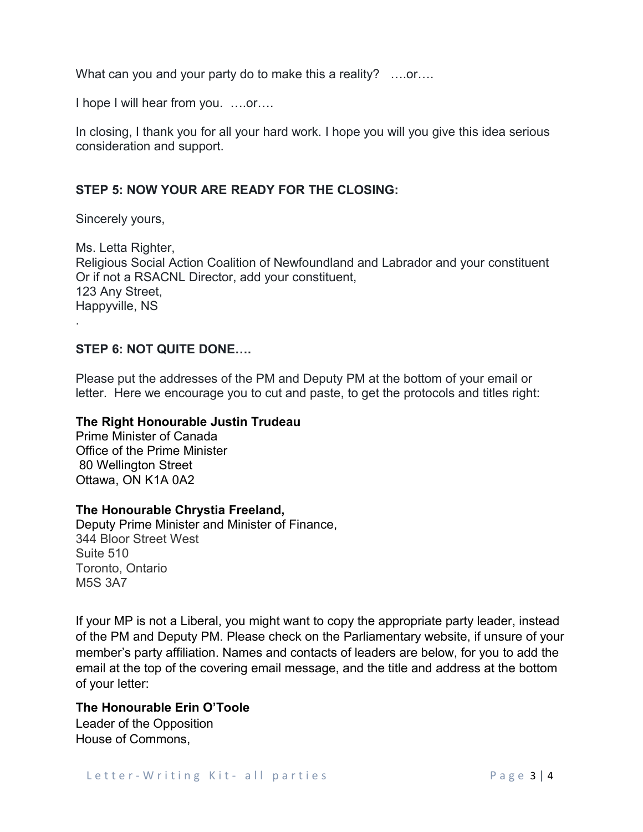What can you and your party do to make this a reality? ....or....

I hope I will hear from you. ….or….

In closing, I thank you for all your hard work. I hope you will you give this idea serious consideration and support.

# **STEP 5: NOW YOUR ARE READY FOR THE CLOSING:**

Sincerely yours,

Ms. Letta Righter, Religious Social Action Coalition of Newfoundland and Labrador and your constituent Or if not a RSACNL Director, add your constituent, 123 Any Street, Happyville, NS .

## **STEP 6: NOT QUITE DONE….**

Please put the addresses of the PM and Deputy PM at the bottom of your email or letter. Here we encourage you to cut and paste, to get the protocols and titles right:

#### **The Right Honourable Justin Trudeau**

Prime Minister of Canada Office of the Prime Minister 80 Wellington Street Ottawa, ON K1A 0A2

## **The Honourable Chrystia Freeland,**

Deputy Prime Minister and Minister of Finance, 344 Bloor Street West Suite 510 Toronto, Ontario M5S 3A7

If your MP is not a Liberal, you might want to copy the appropriate party leader, instead of the PM and Deputy PM. Please check on the Parliamentary website, if unsure of your member's party affiliation. Names and contacts of leaders are below, for you to add the email at the top of the covering email message, and the title and address at the bottom of your letter:

## **The Honourable Erin O'Toole**

Leader of the Opposition House of Commons,